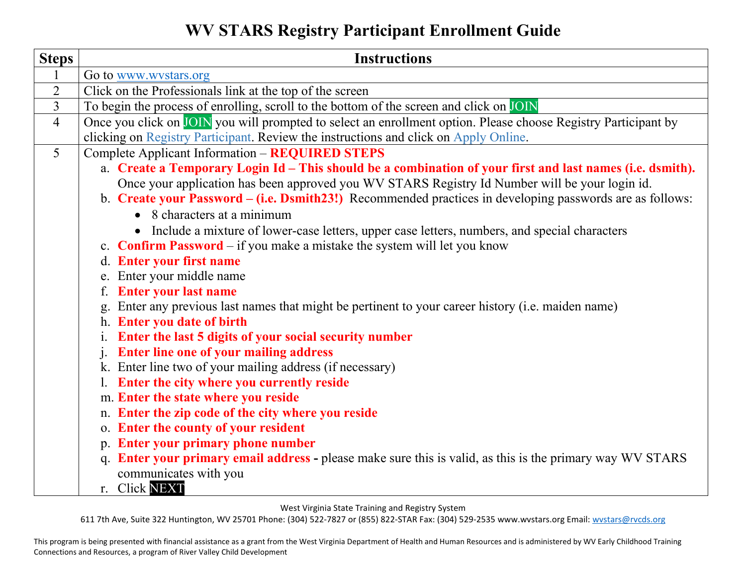**WV STARS Registry Participant Enrollment Guide** 

| <b>Steps</b>   | <b>Instructions</b>                                                                                            |
|----------------|----------------------------------------------------------------------------------------------------------------|
| $\mathbf{1}$   | Go to www.wystars.org                                                                                          |
| $\overline{2}$ | Click on the Professionals link at the top of the screen                                                       |
| $\overline{3}$ | To begin the process of enrolling, scroll to the bottom of the screen and click on JOIN                        |
| $\overline{4}$ | Once you click on JOIN you will prompted to select an enrollment option. Please choose Registry Participant by |
|                | clicking on Registry Participant. Review the instructions and click on Apply Online.                           |
| 5 <sup>5</sup> | <b>Complete Applicant Information - REQUIRED STEPS</b>                                                         |
|                | a. Create a Temporary Login Id - This should be a combination of your first and last names (i.e. dsmith).      |
|                | Once your application has been approved you WV STARS Registry Id Number will be your login id.                 |
|                | b. Create your Password – (i.e. Dsmith23!) Recommended practices in developing passwords are as follows:       |
|                | • 8 characters at a minimum                                                                                    |
|                | • Include a mixture of lower-case letters, upper case letters, numbers, and special characters                 |
|                | c. <b>Confirm Password</b> – if you make a mistake the system will let you know                                |
|                | d. Enter your first name                                                                                       |
|                | e. Enter your middle name                                                                                      |
|                | f. Enter your last name                                                                                        |
|                | Enter any previous last names that might be pertinent to your career history (i.e. maiden name)                |
|                | h. Enter you date of birth                                                                                     |
|                | Enter the last 5 digits of your social security number                                                         |
|                | <b>Enter line one of your mailing address</b><br>$\mathbf{i}$ .                                                |
|                | k. Enter line two of your mailing address (if necessary)                                                       |
|                | 1. Enter the city where you currently reside                                                                   |
|                | m. Enter the state where you reside                                                                            |
|                | n. Enter the zip code of the city where you reside                                                             |
|                | o. Enter the county of your resident                                                                           |
|                | p. Enter your primary phone number                                                                             |
|                | q. Enter your primary email address - please make sure this is valid, as this is the primary way WV STARS      |
|                | communicates with you                                                                                          |
|                | r. Click NEXT                                                                                                  |

West Virginia State Training and Registry System

611 7th Ave, Suite 322 Huntington, WV 25701 Phone: (304) 522-7827 or (855) 822-STAR Fax: (304) 529-2535 www.wvstars.org Email: [wvstars@rvcds.org](mailto:wvstars@rvcds.org)

This program is being presented with financial assistance as a grant from the West Virginia Department of Health and Human Resources and is administered by WV Early Childhood Training Connections and Resources, a program of River Valley Child Development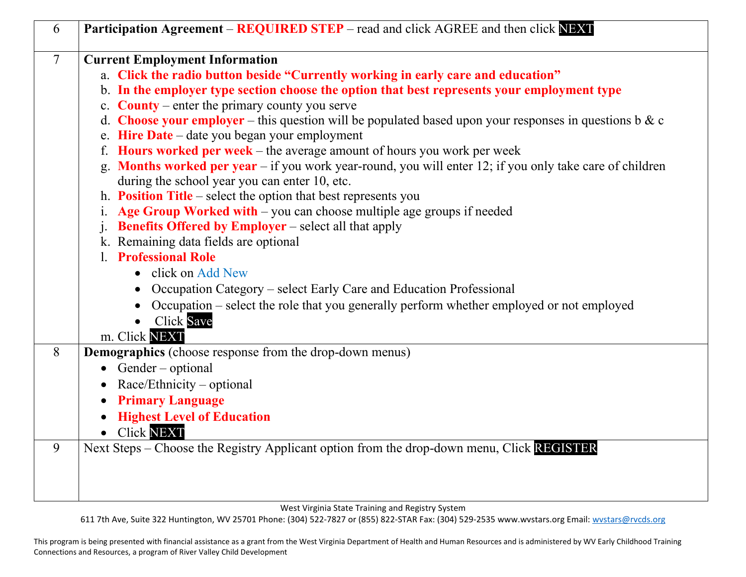| 6              | Participation Agreement – REQUIRED STEP – read and click AGREE and then click NEXT                                                                        |
|----------------|-----------------------------------------------------------------------------------------------------------------------------------------------------------|
| $\overline{7}$ | <b>Current Employment Information</b>                                                                                                                     |
|                | a. Click the radio button beside "Currently working in early care and education"                                                                          |
|                | b. In the employer type section choose the option that best represents your employment type                                                               |
|                | c. <b>County</b> – enter the primary county you serve                                                                                                     |
|                | d. Choose your employer – this question will be populated based upon your responses in questions b & c                                                    |
|                | e. Hire Date - date you began your employment                                                                                                             |
|                | f. Hours worked per week – the average amount of hours you work per week                                                                                  |
|                | g. Months worked per year - if you work year-round, you will enter 12; if you only take care of children<br>during the school year you can enter 10, etc. |
|                | h. <b>Position Title</b> – select the option that best represents you                                                                                     |
|                | Age Group Worked with - you can choose multiple age groups if needed<br>1.                                                                                |
|                | <b>Benefits Offered by Employer</b> – select all that apply                                                                                               |
|                | k. Remaining data fields are optional                                                                                                                     |
|                | <b>Professional Role</b>                                                                                                                                  |
|                | click on Add New                                                                                                                                          |
|                | Occupation Category – select Early Care and Education Professional<br>$\bullet$                                                                           |
|                | Occupation – select the role that you generally perform whether employed or not employed                                                                  |
|                | <b>Click Save</b><br>$\bullet$                                                                                                                            |
|                | m. Click NEXT                                                                                                                                             |
| 8              | <b>Demographics</b> (choose response from the drop-down menus)                                                                                            |
|                | • Gender – optional                                                                                                                                       |
|                | Race/Ethnicity – optional                                                                                                                                 |
|                | <b>Primary Language</b>                                                                                                                                   |
|                | <b>Highest Level of Education</b>                                                                                                                         |
|                | · Click NEXT                                                                                                                                              |
| 9              | Next Steps – Choose the Registry Applicant option from the drop-down menu, Click REGISTER                                                                 |
|                |                                                                                                                                                           |
|                |                                                                                                                                                           |
|                |                                                                                                                                                           |

West Virginia State Training and Registry System

611 7th Ave, Suite 322 Huntington, WV 25701 Phone: (304) 522-7827 or (855) 822-STAR Fax: (304) 529-2535 www.wvstars.org Email: [wvstars@rvcds.org](mailto:wvstars@rvcds.org)

This program is being presented with financial assistance as a grant from the West Virginia Department of Health and Human Resources and is administered by WV Early Childhood Training Connections and Resources, a program of River Valley Child Development